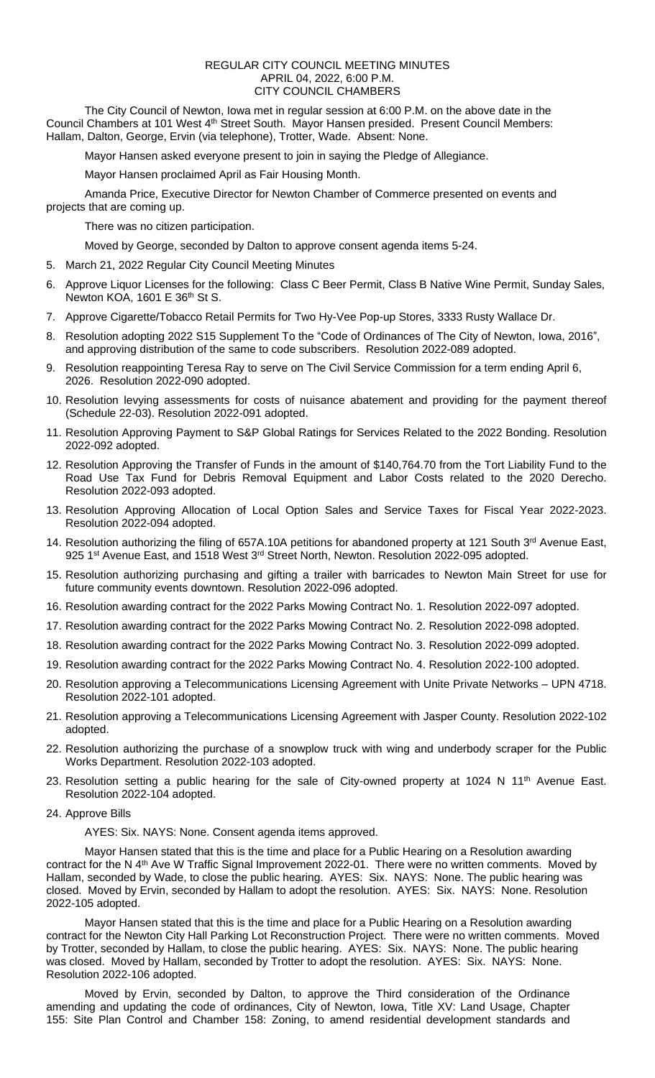## REGULAR CITY COUNCIL MEETING MINUTES APRIL 04, 2022, 6:00 P.M. CITY COUNCIL CHAMBERS

The City Council of Newton, Iowa met in regular session at 6:00 P.M. on the above date in the Council Chambers at 101 West 4th Street South. Mayor Hansen presided. Present Council Members: Hallam, Dalton, George, Ervin (via telephone), Trotter, Wade. Absent: None.

Mayor Hansen asked everyone present to join in saying the Pledge of Allegiance.

Mayor Hansen proclaimed April as Fair Housing Month.

Amanda Price, Executive Director for Newton Chamber of Commerce presented on events and projects that are coming up.

There was no citizen participation.

Moved by George, seconded by Dalton to approve consent agenda items 5-24.

- 5. March 21, 2022 Regular City Council Meeting Minutes
- 6. Approve Liquor Licenses for the following: Class C Beer Permit, Class B Native Wine Permit, Sunday Sales, Newton KOA, 1601 E 36th St S.
- 7. Approve Cigarette/Tobacco Retail Permits for Two Hy-Vee Pop-up Stores, 3333 Rusty Wallace Dr.
- 8. Resolution adopting 2022 S15 Supplement To the "Code of Ordinances of The City of Newton, Iowa, 2016", and approving distribution of the same to code subscribers. Resolution 2022-089 adopted.
- 9. Resolution reappointing Teresa Ray to serve on The Civil Service Commission for a term ending April 6, 2026. Resolution 2022-090 adopted.
- 10. Resolution levying assessments for costs of nuisance abatement and providing for the payment thereof (Schedule 22-03). Resolution 2022-091 adopted.
- 11. Resolution Approving Payment to S&P Global Ratings for Services Related to the 2022 Bonding. Resolution 2022-092 adopted.
- 12. Resolution Approving the Transfer of Funds in the amount of \$140,764.70 from the Tort Liability Fund to the Road Use Tax Fund for Debris Removal Equipment and Labor Costs related to the 2020 Derecho. Resolution 2022-093 adopted.
- 13. Resolution Approving Allocation of Local Option Sales and Service Taxes for Fiscal Year 2022-2023. Resolution 2022-094 adopted.
- 14. Resolution authorizing the filing of 657A.10A petitions for abandoned property at 121 South 3<sup>rd</sup> Avenue East, 925 1<sup>st</sup> Avenue East, and 1518 West 3<sup>rd</sup> Street North, Newton. Resolution 2022-095 adopted.
- 15. Resolution authorizing purchasing and gifting a trailer with barricades to Newton Main Street for use for future community events downtown. Resolution 2022-096 adopted.
- 16. Resolution awarding contract for the 2022 Parks Mowing Contract No. 1. Resolution 2022-097 adopted.
- 17. Resolution awarding contract for the 2022 Parks Mowing Contract No. 2. Resolution 2022-098 adopted.
- 18. Resolution awarding contract for the 2022 Parks Mowing Contract No. 3. Resolution 2022-099 adopted.
- 19. Resolution awarding contract for the 2022 Parks Mowing Contract No. 4. Resolution 2022-100 adopted.
- 20. Resolution approving a Telecommunications Licensing Agreement with Unite Private Networks UPN 4718. Resolution 2022-101 adopted.
- 21. Resolution approving a Telecommunications Licensing Agreement with Jasper County. Resolution 2022-102 adopted.
- 22. Resolution authorizing the purchase of a snowplow truck with wing and underbody scraper for the Public Works Department. Resolution 2022-103 adopted.
- 23. Resolution setting a public hearing for the sale of City-owned property at 1024 N 11<sup>th</sup> Avenue East. Resolution 2022-104 adopted.
- 24. Approve Bills

AYES: Six. NAYS: None. Consent agenda items approved.

Mayor Hansen stated that this is the time and place for a Public Hearing on a Resolution awarding contract for the N 4<sup>th</sup> Ave W Traffic Signal Improvement 2022-01. There were no written comments. Moved by Hallam, seconded by Wade, to close the public hearing. AYES: Six. NAYS: None. The public hearing was closed. Moved by Ervin, seconded by Hallam to adopt the resolution. AYES: Six. NAYS: None. Resolution 2022-105 adopted.

Mayor Hansen stated that this is the time and place for a Public Hearing on a Resolution awarding contract for the Newton City Hall Parking Lot Reconstruction Project. There were no written comments. Moved by Trotter, seconded by Hallam, to close the public hearing. AYES: Six. NAYS: None. The public hearing was closed. Moved by Hallam, seconded by Trotter to adopt the resolution. AYES: Six. NAYS: None. Resolution 2022-106 adopted.

Moved by Ervin, seconded by Dalton, to approve the Third consideration of the Ordinance amending and updating the code of ordinances, City of Newton, Iowa, Title XV: Land Usage, Chapter 155: Site Plan Control and Chamber 158: Zoning, to amend residential development standards and